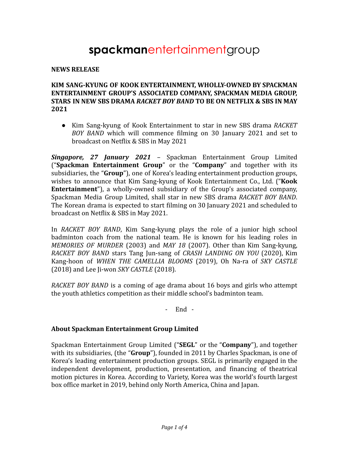# **spackman**entertainmentgroup

#### **NEWS RELEASE**

#### **KIM SANG-KYUNG OF KOOK ENTERTAINMENT, WHOLLY-OWNED BY SPACKMAN ENTERTAINMENT GROUP'S ASSOCIATED COMPANY, SPACKMAN MEDIA GROUP, STARS IN NEW SBS DRAMA** *RACKET BOY BAND* **TO BE ON NETFLIX & SBS IN MAY 2021**

● Kim Sang-kyung of Kook Entertainment to star in new SBS drama *RACKET BOY BAND* which will commence filming on 30 January 2021 and set to broadcast on Netflix & SBS in May 2021

*Singapore, 27 January 2021* – Spackman Entertainment Group Limited ("**Spackman Entertainment Group**" or the "**Company**" and together with its subsidiaries, the "**Group**"), one of Korea's leading entertainment production groups, wishes to announce that Kim Sang-kyung of Kook Entertainment Co., Ltd. ("**Kook Entertainment**"), a wholly-owned subsidiary of the Group's associated company, Spackman Media Group Limited, shall star in new SBS drama *RACKET BOY BAND*. The Korean drama is expected to start filming on 30 January 2021 and scheduled to broadcast on Netflix & SBS in May 2021.

In *RACKET BOY BAND*, Kim Sang-kyung plays the role of a junior high school badminton coach from the national team. He is known for his leading roles in *MEMORIES OF MURDER* (2003) and *MAY 18* (2007). Other than Kim Sang-kyung, *RACKET BOY BAND* stars Tang Jun-sang of *CRASH LANDING ON YOU* (2020), Kim Kang-hoon of *WHEN THE CAMELLIA BLOOMS* (2019), Oh Na-ra of *SKY CASTLE* (2018) and Lee Ji-won *SKY CASTLE* (2018).

*RACKET BOY BAND* is a coming of age drama about 16 boys and girls who attempt the youth athletics competition as their middle school's badminton team.

- End -

#### **About Spackman Entertainment Group Limited**

Spackman Entertainment Group Limited ("**SEGL**" or the "**Company**"), and together with its subsidiaries, (the "**Group**"), founded in 2011 by Charles Spackman, is one of Korea's leading entertainment production groups. SEGL is primarily engaged in the independent development, production, presentation, and financing of theatrical motion pictures in Korea. According to Variety, Korea was the world's fourth largest box office market in 2019, behind only North America, China and Japan.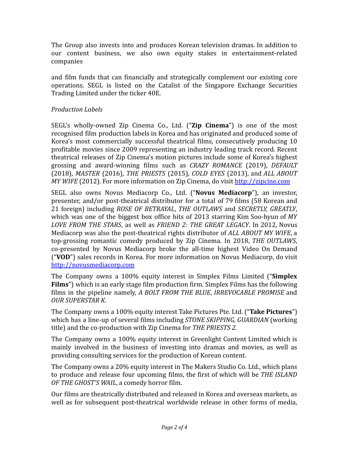The Group also invests into and produces Korean television dramas. In addition to our content business, we also own equity stakes in entertainment-related companies

and film funds that can financially and strategically complement our existing core operations. SEGL is listed on the Catalist of the Singapore Exchange Securities Trading Limited under the ticker 40E.

### *Production Labels*

SEGL's wholly-owned Zip Cinema Co., Ltd. ("**Zip Cinema**") is one of the most recognised film production labels in Korea and has originated and produced some of Korea's most commercially successful theatrical films, consecutively producing 10 profitable movies since 2009 representing an industry leading track record. Recent theatrical releases of Zip Cinema's motion pictures include some of Korea's highest grossing and award-winning films such as *CRAZY ROMANCE* (2019), *DEFAULT* (2018), *MASTER* (2016), *THE PRIESTS* (2015), *COLD EYES* (2013), and *ALL ABOUT MY WIFE* (2012). For more information on Zip Cinema, do visit <http://zipcine.com>

SEGL also owns Novus Mediacorp Co., Ltd. ("**Novus Mediacorp**"), an investor, presenter, and/or post-theatrical distributor for a total of 79 films (58 Korean and 21 foreign) including *ROSE OF BETRAYAL*, *THE OUTLAWS* and *SECRETLY, GREATLY*, which was one of the biggest box office hits of 2013 starring Kim Soo-hyun of *MY LOVE FROM THE STARS*, as well as *FRIEND 2: THE GREAT LEGACY*. In 2012, Novus Mediacorp was also the post-theatrical rights distributor of *ALL ABOUT MY WIFE*, a top-grossing romantic comedy produced by Zip Cinema. In 2018, *THE OUTLAWS*, co-presented by Novus Mediacorp broke the all-time highest Video On Demand ("**VOD**") sales records in Korea. For more information on Novus Mediacorp, do visit <http://novusmediacorp.com>

The Company owns a 100% equity interest in Simplex Films Limited ("**Simplex Films**") which is an early stage film production firm. Simplex Films has the following films in the pipeline namely, *A BOLT FROM THE BLUE*, *IRREVOCABLE PROMISE* and *OUR SUPERSTAR K*.

The Company owns a 100% equity interest Take Pictures Pte. Ltd. ("**Take Pictures**") which has a line-up of several films including *STONE SKIPPING, GUARDIAN* (working title) and the co-production with Zip Cinema for *THE PRIESTS 2.*

The Company owns a 100% equity interest in Greenlight Content Limited which is mainly involved in the business of investing into dramas and movies, as well as providing consulting services for the production of Korean content.

The Company owns a 20% equity interest in The Makers Studio Co. Ltd., which plans to produce and release four upcoming films, the first of which will be *THE ISLAND OF THE GHOST'S WAIL*, a comedy horror film.

Our films are theatrically distributed and released in Korea and overseas markets, as well as for subsequent post-theatrical worldwide release in other forms of media,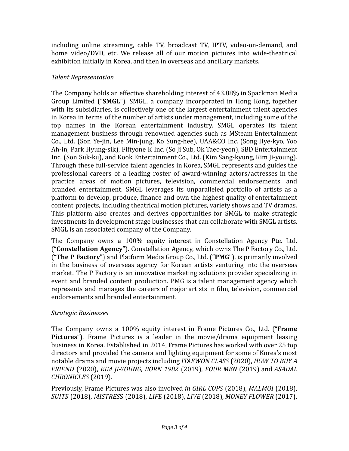including online streaming, cable TV, broadcast TV, IPTV, video-on-demand, and home video/DVD, etc. We release all of our motion pictures into wide-theatrical exhibition initially in Korea, and then in overseas and ancillary markets.

## *Talent Representation*

The Company holds an effective shareholding interest of 43.88% in Spackman Media Group Limited ("**SMGL**"). SMGL, a company incorporated in Hong Kong, together with its subsidiaries, is collectively one of the largest entertainment talent agencies in Korea in terms of the number of artists under management, including some of the top names in the Korean entertainment industry. SMGL operates its talent management business through renowned agencies such as MSteam Entertainment Co., Ltd. (Son Ye-jin, Lee Min-jung, Ko Sung-hee), UAA&CO Inc. (Song Hye-kyo, Yoo Ah-in, Park Hyung-sik), Fiftyone K Inc. (So Ji Sub, Ok Taec-yeon), SBD Entertainment Inc. (Son Suk-ku), and Kook Entertainment Co., Ltd. (Kim Sang-kyung, Kim Ji-young). Through these full-service talent agencies in Korea, SMGL represents and guides the professional careers of a leading roster of award-winning actors/actresses in the practice areas of motion pictures, television, commercial endorsements, and branded entertainment. SMGL leverages its unparalleled portfolio of artists as a platform to develop, produce, finance and own the highest quality of entertainment content projects, including theatrical motion pictures, variety shows and TV dramas. This platform also creates and derives opportunities for SMGL to make strategic investments in development stage businesses that can collaborate with SMGL artists. SMGL is an associated company of the Company.

The Company owns a 100% equity interest in Constellation Agency Pte. Ltd. ("**Constellation Agency**"). Constellation Agency, which owns The P Factory Co., Ltd. ("**The P Factory**") and Platform Media Group Co., Ltd. ("**PMG**"), is primarily involved in the business of overseas agency for Korean artists venturing into the overseas market. The P Factory is an innovative marketing solutions provider specializing in event and branded content production. PMG is a talent management agency which represents and manages the careers of major artists in film, television, commercial endorsements and branded entertainment.

## *Strategic Businesses*

The Company owns a 100% equity interest in Frame Pictures Co., Ltd. ("**Frame Pictures**"). Frame Pictures is a leader in the movie/drama equipment leasing business in Korea. Established in 2014, Frame Pictures has worked with over 25 top directors and provided the camera and lighting equipment for some of Korea's most notable drama and movie projects including *ITAEWON CLASS* (2020), *HOW TO BUY A FRIEND* (2020), *KIM JI-YOUNG, BORN 1982* (2019), *FOUR MEN* (2019) and *ASADAL CHRONICLES* (2019).

Previously, Frame Pictures was also involved *in GIRL COPS* (2018), *MALMOI* (2018), *SUITS* (2018), *MISTRES*S (2018), *LIFE* (2018), *LIVE* (2018), *MONEY FLOWER* (2017),